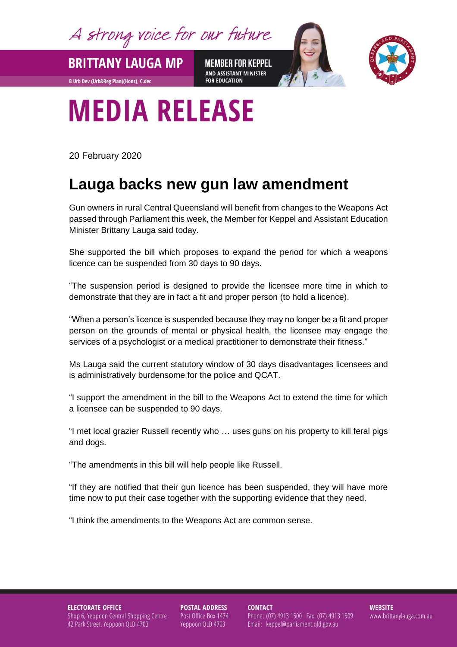A strong voice for our future

**BRITTANY LAUGA MP MEMBER FOR KEPPEL** AND ASSISTANT MINISTER **FOR EDUCATION** 



## **MEDIA RELEASE**

20 February 2020

**B Urb Dev (Urb&Reg Plan)(Hons), C.dec** 

## **Lauga backs new gun law amendment**

Gun owners in rural Central Queensland will benefit from changes to the Weapons Act passed through Parliament this week, the Member for Keppel and Assistant Education Minister Brittany Lauga said today.

She supported the bill which proposes to expand the period for which a weapons licence can be suspended from 30 days to 90 days.

"The suspension period is designed to provide the licensee more time in which to demonstrate that they are in fact a fit and proper person (to hold a licence).

"When a person's licence is suspended because they may no longer be a fit and proper person on the grounds of mental or physical health, the licensee may engage the services of a psychologist or a medical practitioner to demonstrate their fitness."

Ms Lauga said the current statutory window of 30 days disadvantages licensees and is administratively burdensome for the police and QCAT.

"I support the amendment in the bill to the Weapons Act to extend the time for which a licensee can be suspended to 90 days.

"I met local grazier Russell recently who … uses guns on his property to kill feral pigs and dogs.

"The amendments in this bill will help people like Russell.

"If they are notified that their gun licence has been suspended, they will have more time now to put their case together with the supporting evidence that they need.

"I think the amendments to the Weapons Act are common sense.

**ELECTORATE OFFICE** Shop 6, Yeppoon Central Shopping Centre 42 Park Street, Yeppoon QLD 4703

**POSTAL ADDRESS** Post Office Box 1474 Yeppoon QLD 4703

**CONTACT** Phone: (07) 4913 1500 Fax: (07) 4913 1509 Email: keppel@parliament.qld.gov.au

**WEBSITE** www.brittanylauga.com.au